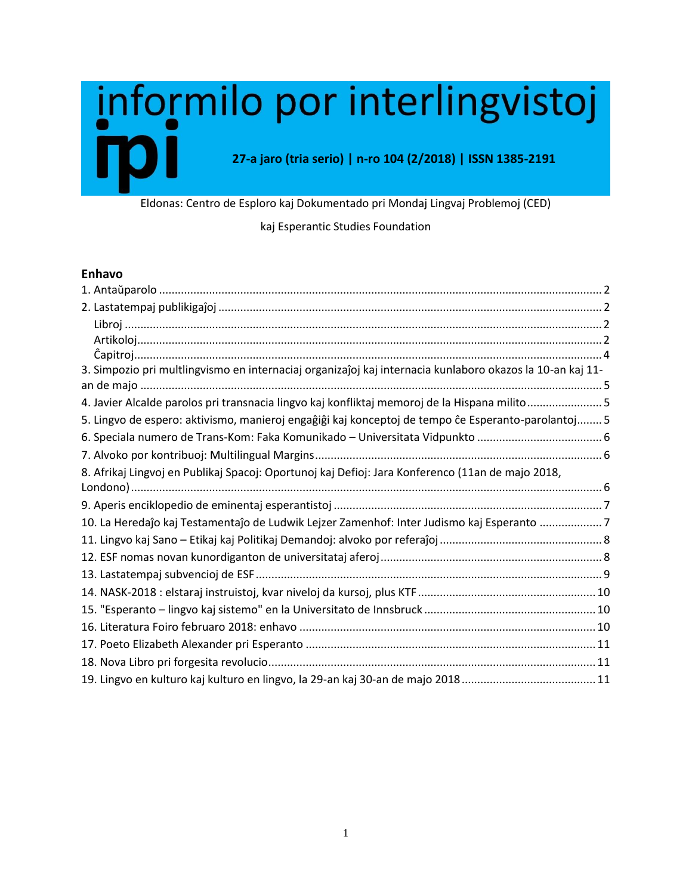# informilo por interlingvistoj **27-a jaro (tria serio) | n-ro 104 (2/2018) | ISSN 1385-2191**

Eldonas: Centro de Esploro kaj Dokumentado pri Mondaj Lingvaj Problemoj (CED)

#### kaj Esperantic Studies Foundation

#### **Enhavo**

| 3. Simpozio pri multlingvismo en internaciaj organizaĵoj kaj internacia kunlaboro okazos la 10-an kaj 11- |  |
|-----------------------------------------------------------------------------------------------------------|--|
|                                                                                                           |  |
| 4. Javier Alcalde parolos pri transnacia lingvo kaj konfliktaj memoroj de la Hispana milito5              |  |
| 5. Lingvo de espero: aktivismo, manieroj engaĝiĝi kaj konceptoj de tempo ĉe Esperanto-parolantoj 5        |  |
|                                                                                                           |  |
|                                                                                                           |  |
| 8. Afrikaj Lingvoj en Publikaj Spacoj: Oportunoj kaj Defioj: Jara Konferenco (11an de majo 2018,          |  |
|                                                                                                           |  |
|                                                                                                           |  |
| 10. La Heredaĵo kaj Testamentaĵo de Ludwik Lejzer Zamenhof: Inter Judismo kaj Esperanto 7                 |  |
|                                                                                                           |  |
|                                                                                                           |  |
|                                                                                                           |  |
|                                                                                                           |  |
|                                                                                                           |  |
|                                                                                                           |  |
|                                                                                                           |  |
|                                                                                                           |  |
|                                                                                                           |  |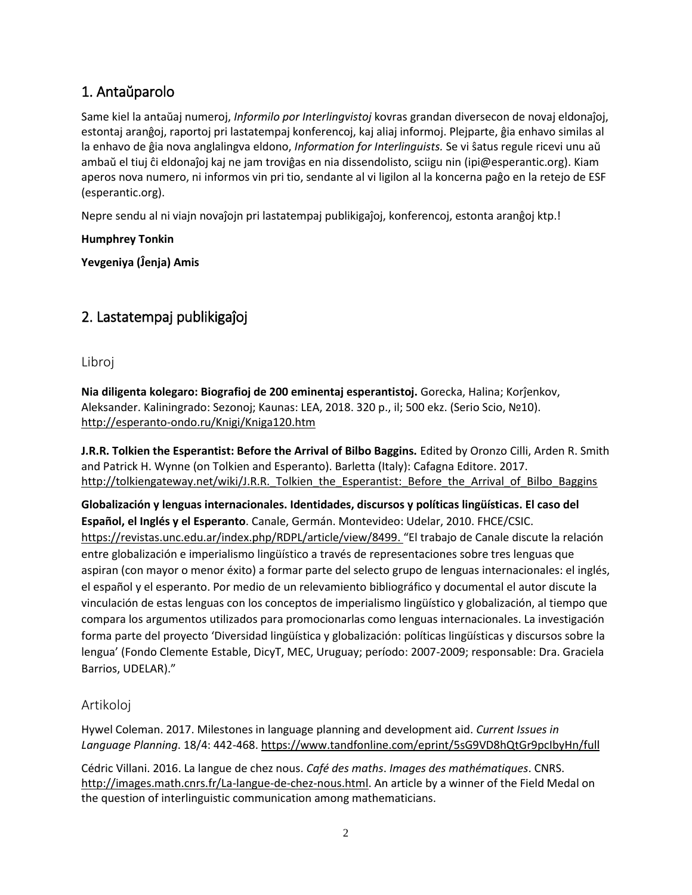## <span id="page-1-0"></span>1. Antaŭparolo

Same kiel la antaŭaj numeroj, *Informilo por Interlingvistoj* kovras grandan diversecon de novaj eldonaĵoj, estontaj aranĝoj, raportoj pri lastatempaj konferencoj, kaj aliaj informoj. Plejparte, ĝia enhavo similas al la enhavo de ĝia nova anglalingva eldono, *Information for Interlinguists.* Se vi ŝatus regule ricevi unu aŭ ambaŭ el tiuj ĉi eldonaĵoj kaj ne jam troviĝas en nia dissendolisto, sciigu nin (ipi@esperantic.org). Kiam aperos nova numero, ni informos vin pri tio, sendante al vi ligilon al la koncerna paĝo en la retejo de ESF (esperantic.org).

Nepre sendu al ni viajn novaĵojn pri lastatempaj publikigaĵoj, konferencoj, estonta aranĝoj ktp.!

**Humphrey Tonkin**

**Yevgeniya (Ĵenja) Amis**

# <span id="page-1-1"></span>2. Lastatempaj publikigaĵoj

<span id="page-1-2"></span>Libroj

**Nia diligenta kolegaro: Biografioj de 200 eminentaj esperantistoj.** Gorecka, Halina; Korĵenkov, Aleksander. Kaliningrado: Sezonoj; Kaunas: LEA, 2018. 320 p., il; 500 ekz. (Serio Scio, №10). <http://esperanto-ondo.ru/Knigi/Kniga120.htm>

**J.R.R. Tolkien the Esperantist: Before the Arrival of Bilbo Baggins.** Edited by Oronzo Cilli, Arden R. Smith and Patrick H. Wynne (on Tolkien and Esperanto). Barletta (Italy): Cafagna Editore. 2017. http://tolkiengateway.net/wiki/J.R.R. Tolkien\_the\_Esperantist:\_Before\_the\_Arrival\_of\_Bilbo\_Baggins

**Globalización y lenguas internacionales. Identidades, discursos y políticas lingüísticas. El caso del Español, el Inglés y el Esperanto**. Canale, Germán. Montevideo: Udelar, 2010. FHCE/CSIC. [https://revistas.unc.edu.ar/index.php/RDPL/article/view/8499.](https://revistas.unc.edu.ar/index.php/RDPL/article/view/8499) "El trabajo de Canale discute la relación entre globalización e imperialismo lingüístico a través de representaciones sobre tres lenguas que aspiran (con mayor o menor éxito) a formar parte del selecto grupo de lenguas internacionales: el inglés, el español y el esperanto. Por medio de un relevamiento bibliográfico y documental el autor discute la vinculación de estas lenguas con los conceptos de imperialismo lingüístico y globalización, al tiempo que compara los argumentos utilizados para promocionarlas como lenguas internacionales. La investigación forma parte del proyecto 'Diversidad lingüística y globalización: políticas lingüísticas y discursos sobre la lengua' (Fondo Clemente Estable, DicyT, MEC, Uruguay; período: 2007-2009; responsable: Dra. Graciela Barrios, UDELAR)."

#### <span id="page-1-3"></span>Artikoloj

Hywel Coleman. 2017. Milestones in language planning and development aid. *Current Issues in Language Planning*. 18/4: 442-468.<https://www.tandfonline.com/eprint/5sG9VD8hQtGr9pcIbyHn/full>

Cédric Villani. 2016. La langue de chez nous. *Café des maths*. *Images des mathématiques*. CNRS. [http://images.math.cnrs.fr/La-langue-de-chez-nous.html.](http://images.math.cnrs.fr/La-langue-de-chez-nous.html) An article by a winner of the Field Medal on the question of interlinguistic communication among mathematicians.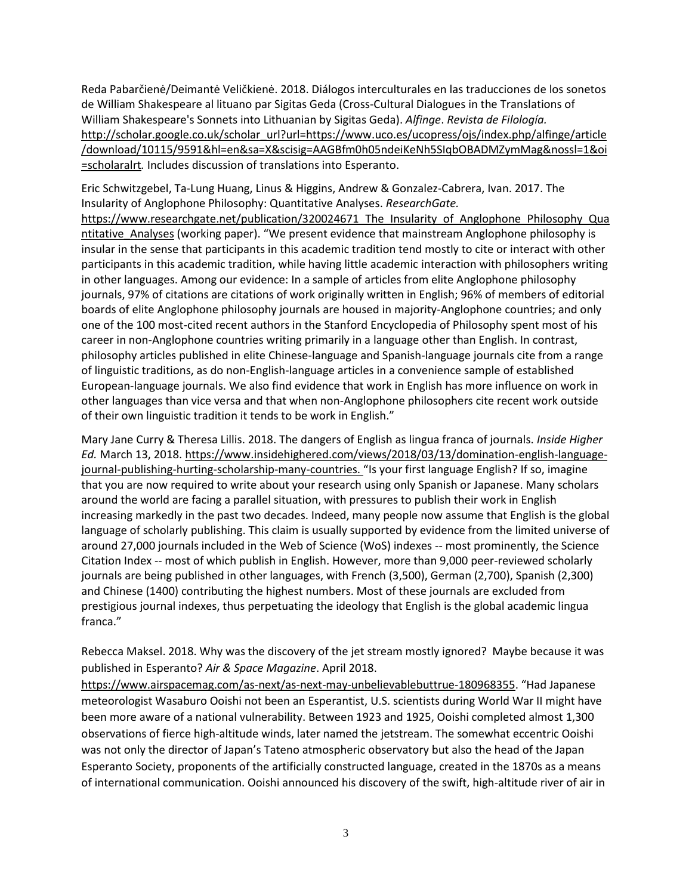Reda Pabarčienė/Deimantė Veličkienė. 2018. Diálogos interculturales en las traducciones de los sonetos de William Shakespeare al lituano par Sigitas Geda (Cross-Cultural Dialogues in the Translations of William Shakespeare's Sonnets into Lithuanian by Sigitas Geda). *Alfinge*. *Revista de Filología.* [http://scholar.google.co.uk/scholar\\_url?url=https://www.uco.es/ucopress/ojs/index.php/alfinge/article](http://scholar.google.co.uk/scholar_url?url=https://www.uco.es/ucopress/ojs/index.php/alfinge/article/download/10115/9591&hl=en&sa=X&scisig=AAGBfm0h05ndeiKeNh5SIqbOBADMZymMag&nossl=1&oi=scholaralrt) [/download/10115/9591&hl=en&sa=X&scisig=AAGBfm0h05ndeiKeNh5SIqbOBADMZymMag&nossl=1&oi](http://scholar.google.co.uk/scholar_url?url=https://www.uco.es/ucopress/ojs/index.php/alfinge/article/download/10115/9591&hl=en&sa=X&scisig=AAGBfm0h05ndeiKeNh5SIqbOBADMZymMag&nossl=1&oi=scholaralrt) [=scholaralrt](http://scholar.google.co.uk/scholar_url?url=https://www.uco.es/ucopress/ojs/index.php/alfinge/article/download/10115/9591&hl=en&sa=X&scisig=AAGBfm0h05ndeiKeNh5SIqbOBADMZymMag&nossl=1&oi=scholaralrt)*.* Includes discussion of translations into Esperanto.

Eric Schwitzgebel, Ta-Lung Huang, Linus & Higgins, Andrew & Gonzalez-Cabrera, Ivan. 2017. The Insularity of Anglophone Philosophy: Quantitative Analyses. *ResearchGate.*

https://www.researchgate.net/publication/320024671 The Insularity of Anglophone Philosophy Qua [ntitative\\_Analyses](https://www.researchgate.net/publication/320024671_The_Insularity_of_Anglophone_Philosophy_Quantitative_Analyses) (working paper). "We present evidence that mainstream Anglophone philosophy is insular in the sense that participants in this academic tradition tend mostly to cite or interact with other participants in this academic tradition, while having little academic interaction with philosophers writing in other languages. Among our evidence: In a sample of articles from elite Anglophone philosophy journals, 97% of citations are citations of work originally written in English; 96% of members of editorial boards of elite Anglophone philosophy journals are housed in majority-Anglophone countries; and only one of the 100 most-cited recent authors in the Stanford Encyclopedia of Philosophy spent most of his career in non-Anglophone countries writing primarily in a language other than English. In contrast, philosophy articles published in elite Chinese-language and Spanish-language journals cite from a range of linguistic traditions, as do non-English-language articles in a convenience sample of established European-language journals. We also find evidence that work in English has more influence on work in other languages than vice versa and that when non-Anglophone philosophers cite recent work outside of their own linguistic tradition it tends to be work in English."

Mary Jane Curry & Theresa Lillis. 2018. The dangers of English as lingua franca of journals. *Inside Higher Ed.* March 13, 2018[. https://www.insidehighered.com/views/2018/03/13/domination-english-language](https://www.insidehighered.com/views/2018/03/13/domination-english-language-journal-publishing-hurting-scholarship-many-countries)[journal-publishing-hurting-scholarship-many-countries.](https://www.insidehighered.com/views/2018/03/13/domination-english-language-journal-publishing-hurting-scholarship-many-countries) "Is your first language English? If so, imagine that you are now required to write about your research using only Spanish or Japanese. Many scholars around the world are facing a parallel situation, with pressures to publish their work in English increasing markedly in the past two decades. Indeed, many people now assume that English is the global language of scholarly publishing. This claim is usually supported by evidence from the limited universe of around 27,000 journals included in the Web of Science (WoS) indexes -- most prominently, the Science Citation Index -- most of which publish in English. However, more than 9,000 peer-reviewed scholarly journals are being published in other languages, with French (3,500), German (2,700), Spanish (2,300) and Chinese (1400) contributing the highest numbers. Most of these journals are excluded from prestigious journal indexes, thus perpetuating the ideology that English is the global academic lingua franca."

Rebecca Maksel. 2018. Why was the discovery of the jet stream mostly ignored? Maybe because it was published in Esperanto? *Air & Space Magazine*. April 2018.

<https://www.airspacemag.com/as-next/as-next-may-unbelievablebuttrue-180968355>. "Had Japanese meteorologist Wasaburo Ooishi not been an Esperantist, U.S. scientists during World War II might have been more aware of a national vulnerability. Between 1923 and 1925, Ooishi completed almost 1,300 observations of fierce high-altitude winds, later named the jetstream. The somewhat eccentric Ooishi was not only the director of Japan's Tateno atmospheric observatory but also the head of the Japan Esperanto Society, proponents of the artificially constructed language, created in the 1870s as a means of international communication. Ooishi announced his discovery of the swift, high-altitude river of air in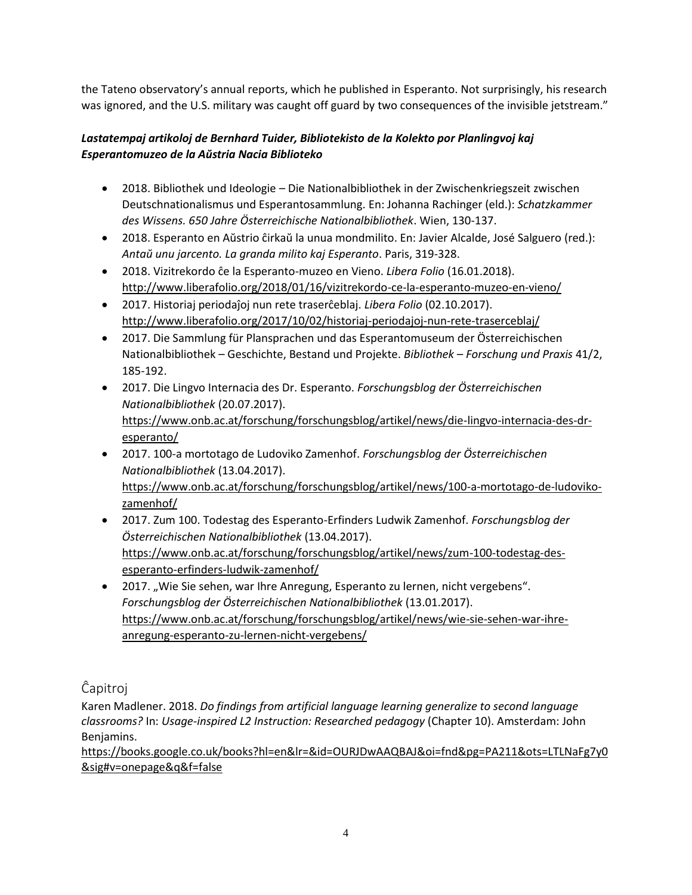the Tateno observatory's annual reports, which he published in Esperanto. Not surprisingly, his research was ignored, and the U.S. military was caught off guard by two consequences of the invisible jetstream."

#### *Lastatempaj artikoloj de Bernhard Tuider, Bibliotekisto de la Kolekto por Planlingvoj kaj Esperantomuzeo de la Aŭstria Nacia Biblioteko*

- 2018. Bibliothek und Ideologie Die Nationalbibliothek in der Zwischenkriegszeit zwischen Deutschnationalismus und Esperantosammlung. En: Johanna Rachinger (eld.): *Schatzkammer des Wissens. 650 Jahre Österreichische Nationalbibliothek*. Wien, 130-137.
- 2018. Esperanto en Aŭstrio ĉirkaŭ la unua mondmilito. En: Javier Alcalde, José Salguero (red.): *Antaŭ unu jarcento. La granda milito kaj Esperanto*. Paris, 319-328.
- 2018. Vizitrekordo ĉe la Esperanto-muzeo en Vieno. *Libera Folio* (16.01.2018). <http://www.liberafolio.org/2018/01/16/vizitrekordo-ce-la-esperanto-muzeo-en-vieno/>
- 2017. Historiaj periodaĵoj nun rete traserĉeblaj. *Libera Folio* (02.10.2017). <http://www.liberafolio.org/2017/10/02/historiaj-periodajoj-nun-rete-traserceblaj/>
- 2017. Die Sammlung für Plansprachen und das Esperantomuseum der Österreichischen Nationalbibliothek – Geschichte, Bestand und Projekte. *Bibliothek – Forschung und Praxis* 41/2, 185-192.
- 2017. Die Lingvo Internacia des Dr. Esperanto. *Forschungsblog der Österreichischen Nationalbibliothek* (20.07.2017). [https://www.onb.ac.at/forschung/forschungsblog/artikel/news/die-lingvo-internacia-des-dr](https://www.onb.ac.at/forschung/forschungsblog/artikel/news/die-lingvo-internacia-des-dr-esperanto/)[esperanto/](https://www.onb.ac.at/forschung/forschungsblog/artikel/news/die-lingvo-internacia-des-dr-esperanto/)
- 2017. 100-a mortotago de Ludoviko Zamenhof. *Forschungsblog der Österreichischen Nationalbibliothek* (13.04.2017). [https://www.onb.ac.at/forschung/forschungsblog/artikel/news/100-a-mortotago-de-ludoviko](https://www.onb.ac.at/forschung/forschungsblog/artikel/news/100-a-mortotago-de-ludoviko-zamenhof/)[zamenhof/](https://www.onb.ac.at/forschung/forschungsblog/artikel/news/100-a-mortotago-de-ludoviko-zamenhof/)
- 2017. Zum 100. Todestag des Esperanto-Erfinders Ludwik Zamenhof. *Forschungsblog der Österreichischen Nationalbibliothek* (13.04.2017). [https://www.onb.ac.at/forschung/forschungsblog/artikel/news/zum-100-todestag-des](https://www.onb.ac.at/forschung/forschungsblog/artikel/news/zum-100-todestag-des-esperanto-erfinders-ludwik-zamenhof/)[esperanto-erfinders-ludwik-zamenhof/](https://www.onb.ac.at/forschung/forschungsblog/artikel/news/zum-100-todestag-des-esperanto-erfinders-ludwik-zamenhof/)
- 2017. "Wie Sie sehen, war Ihre Anregung, Esperanto zu lernen, nicht vergebens". *Forschungsblog der Österreichischen Nationalbibliothek* (13.01.2017). [https://www.onb.ac.at/forschung/forschungsblog/artikel/news/wie-sie-sehen-war-ihre](https://www.onb.ac.at/forschung/forschungsblog/artikel/news/wie-sie-sehen-war-ihre-anregung-esperanto-zu-lernen-nicht-vergebens/)[anregung-esperanto-zu-lernen-nicht-vergebens/](https://www.onb.ac.at/forschung/forschungsblog/artikel/news/wie-sie-sehen-war-ihre-anregung-esperanto-zu-lernen-nicht-vergebens/)

<span id="page-3-0"></span>Ĉapitroj

Karen Madlener. 2018. *Do findings from artificial language learning generalize to second language classrooms?* In: *Usage-inspired L2 Instruction: Researched pedagogy* (Chapter 10). Amsterdam: John Benjamins.

[https://books.google.co.uk/books?hl=en&lr=&id=OURJDwAAQBAJ&oi=fnd&pg=PA211&ots=LTLNaFg7y0](https://books.google.co.uk/books?hl=en&lr=&id=OURJDwAAQBAJ&oi=fnd&pg=PA211&ots=LTLNaFg7y0&sig#v=onepage&q&f=false) [&sig#v=onepage&q&f=false](https://books.google.co.uk/books?hl=en&lr=&id=OURJDwAAQBAJ&oi=fnd&pg=PA211&ots=LTLNaFg7y0&sig#v=onepage&q&f=false)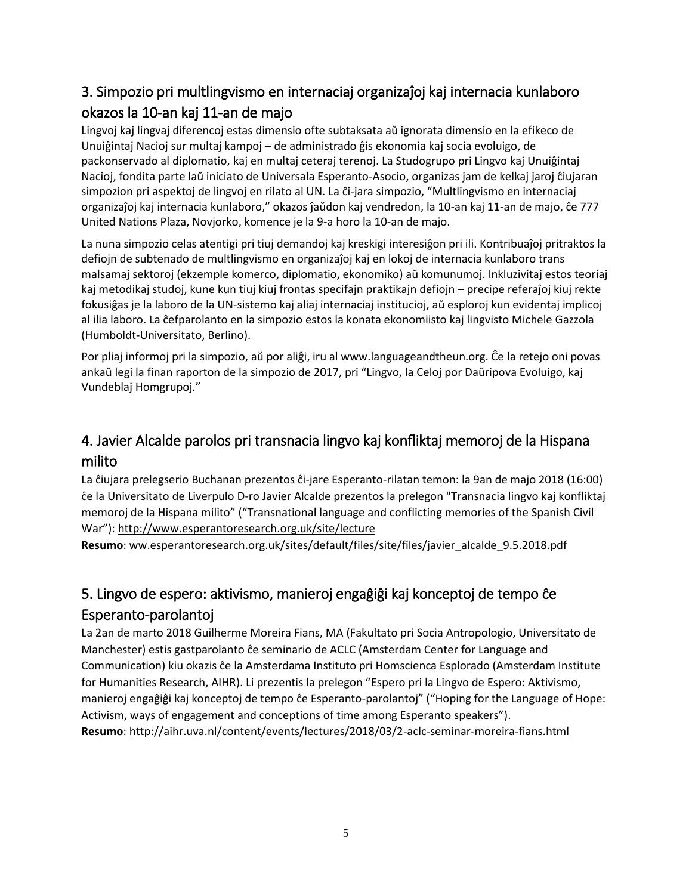# <span id="page-4-0"></span>3. Simpozio pri multlingvismo en internaciaj organizaĵoj kaj internacia kunlaboro okazos la 10-an kaj 11-an de majo

Lingvoj kaj lingvaj diferencoj estas dimensio ofte subtaksata aŭ ignorata dimensio en la efikeco de Unuiĝintaj Nacioj sur multaj kampoj – de administrado ĝis ekonomia kaj socia evoluigo, de packonservado al diplomatio, kaj en multaj ceteraj terenoj. La Studogrupo pri Lingvo kaj Unuiĝintaj Nacioj, fondita parte laŭ iniciato de Universala Esperanto-Asocio, organizas jam de kelkaj jaroj ĉiujaran simpozion pri aspektoj de lingvoj en rilato al UN. La ĉi-jara simpozio, "Multlingvismo en internaciaj organizaĵoj kaj internacia kunlaboro," okazos ĵaŭdon kaj vendredon, la 10-an kaj 11-an de majo, ĉe 777 United Nations Plaza, Novjorko, komence je la 9-a horo la 10-an de majo.

La nuna simpozio celas atentigi pri tiuj demandoj kaj kreskigi interesiĝon pri ili. Kontribuaĵoj pritraktos la defiojn de subtenado de multlingvismo en organizaĵoj kaj en lokoj de internacia kunlaboro trans malsamaj sektoroj (ekzemple komerco, diplomatio, ekonomiko) aŭ komunumoj. Inkluzivitaj estos teoriaj kaj metodikaj studoj, kune kun tiuj kiuj frontas specifajn praktikajn defiojn – precipe referaĵoj kiuj rekte fokusiĝas je la laboro de la UN-sistemo kaj aliaj internaciaj institucioj, aŭ esploroj kun evidentaj implicoj al ilia laboro. La ĉefparolanto en la simpozio estos la konata ekonomiisto kaj lingvisto Michele Gazzola (Humboldt-Universitato, Berlino).

Por pliaj informoj pri la simpozio, aŭ por aliĝi, iru al www.languageandtheun.org. Ĉe la retejo oni povas ankaŭ legi la finan raporton de la simpozio de 2017, pri "Lingvo, la Celoj por Daŭripova Evoluigo, kaj Vundeblaj Homgrupoj."

# <span id="page-4-1"></span>4. Javier Alcalde parolos pri transnacia lingvo kaj konfliktaj memoroj de la Hispana milito

La ĉiujara prelegserio Buchanan prezentos ĉi-jare Esperanto-rilatan temon: la 9an de majo 2018 (16:00) ĉe la Universitato de Liverpulo D-ro Javier Alcalde prezentos la prelegon "Transnacia lingvo kaj konfliktaj memoroj de la Hispana milito" ("Transnational language and conflicting memories of the Spanish Civil War"):<http://www.esperantoresearch.org.uk/site/lecture>

**Resumo**: [ww.esperantoresearch.org.uk/sites/default/files/site/files/javier\\_alcalde\\_9.5.2018.pdf](http://www.esperantoresearch.org.uk/sites/default/files/site/files/javier_alcalde_9.5.2018.pdf)

# <span id="page-4-2"></span>5. Lingvo de espero: aktivismo, manieroj engaĝiĝi kaj konceptoj de tempo ĉe Esperanto-parolantoj

La 2an de marto 2018 Guilherme Moreira Fians, MA (Fakultato pri Socia Antropologio, Universitato de Manchester) estis gastparolanto ĉe seminario de ACLC (Amsterdam Center for Language and Communication) kiu okazis ĉe la Amsterdama Instituto pri Homscienca Esplorado (Amsterdam Institute for Humanities Research, AIHR). Li prezentis la prelegon "Espero pri la Lingvo de Espero: Aktivismo, manieroj engaĝiĝi kaj konceptoj de tempo ĉe Esperanto-parolantoj" ("Hoping for the Language of Hope: Activism, ways of engagement and conceptions of time among Esperanto speakers"). **Resumo**:<http://aihr.uva.nl/content/events/lectures/2018/03/2-aclc-seminar-moreira-fians.html>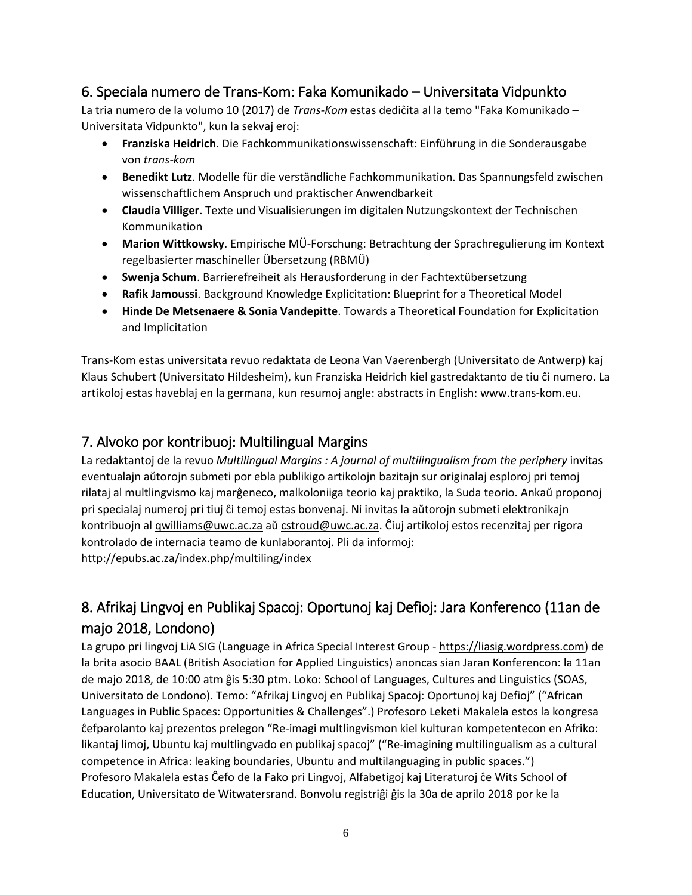### <span id="page-5-0"></span>6. Speciala numero de Trans-Kom: Faka Komunikado – Universitata Vidpunkto

La tria numero de la volumo 10 (2017) de *Trans-Kom* estas dediĉita al la temo "Faka Komunikado – Universitata Vidpunkto", kun la sekvaj eroj:

- **Franziska Heidrich**. Die Fachkommunikationswissenschaft: Einführung in die Sonderausgabe von *trans-kom*
- **Benedikt Lutz**. Modelle für die verständliche Fachkommunikation. Das Spannungsfeld zwischen wissenschaftlichem Anspruch und praktischer Anwendbarkeit
- **Claudia Villiger**. Texte und Visualisierungen im digitalen Nutzungskontext der Technischen Kommunikation
- **Marion Wittkowsky**. Empirische MÜ-Forschung: Betrachtung der Sprachregulierung im Kontext regelbasierter maschineller Übersetzung (RBMÜ)
- **Swenja Schum**. Barrierefreiheit als Herausforderung in der Fachtextübersetzung
- **Rafik Jamoussi**. Background Knowledge Explicitation: Blueprint for a Theoretical Model
- **Hinde De Metsenaere & Sonia Vandepitte**. Towards a Theoretical Foundation for Explicitation and Implicitation

Trans-Kom estas universitata revuo redaktata de Leona Van Vaerenbergh (Universitato de Antwerp) kaj Klaus Schubert (Universitato Hildesheim), kun Franziska Heidrich kiel gastredaktanto de tiu ĉi numero. La artikoloj estas haveblaj en la germana, kun resumoj angle: abstracts in English: [www.trans-kom.eu.](http://www.trans-kom.eu/)

### <span id="page-5-1"></span>7. Alvoko por kontribuoj: Multilingual Margins

La redaktantoj de la revuo *Multilingual Margins : A journal of multilingualism from the periphery* invitas eventualajn aŭtorojn submeti por ebla publikigo artikolojn bazitajn sur originalaj esploroj pri temoj rilataj al multlingvismo kaj marĝeneco, malkoloniiga teorio kaj praktiko, la Suda teorio. Ankaŭ proponoj pri specialaj numeroj pri tiuj ĉi temoj estas bonvenaj. Ni invitas la aŭtorojn submeti elektronikajn kontribuojn al *gwilliams@uwc.ac.za aŭ cstroud@uwc.ac.za*. Ĉiuj artikoloj estos recenzitaj per rigora kontrolado de internacia teamo de kunlaborantoj. Pli da informoj: <http://epubs.ac.za/index.php/multiling/index>

# <span id="page-5-2"></span>8. Afrikaj Lingvoj en Publikaj Spacoj: Oportunoj kaj Defioj: Jara Konferenco (11an de majo 2018, Londono)

La grupo pri lingvoj LiA SIG (Language in Africa Special Interest Group - [https://liasig.wordpress.com\)](https://liasig.wordpress.com/) de la brita asocio BAAL (British Asociation for Applied Linguistics) anoncas sian Jaran Konferencon: la 11an de majo 2018, de 10:00 atm ĝis 5:30 ptm. Loko: School of Languages, Cultures and Linguistics (SOAS, Universitato de Londono). Temo: "Afrikaj Lingvoj en Publikaj Spacoj: Oportunoj kaj Defioj" ("African Languages in Public Spaces: Opportunities & Challenges".) Profesoro Leketi Makalela estos la kongresa ĉefparolanto kaj prezentos prelegon "Re-imagi multlingvismon kiel kulturan kompetentecon en Afriko: likantaj limoj, Ubuntu kaj multlingvado en publikaj spacoj" ("Re-imagining multilingualism as a cultural competence in Africa: leaking boundaries, Ubuntu and multilanguaging in public spaces.") Profesoro Makalela estas Ĉefo de la Fako pri Lingvoj, Alfabetigoj kaj Literaturoj ĉe Wits School of Education, Universitato de Witwatersrand. Bonvolu registriĝi ĝis la 30a de aprilo 2018 por ke la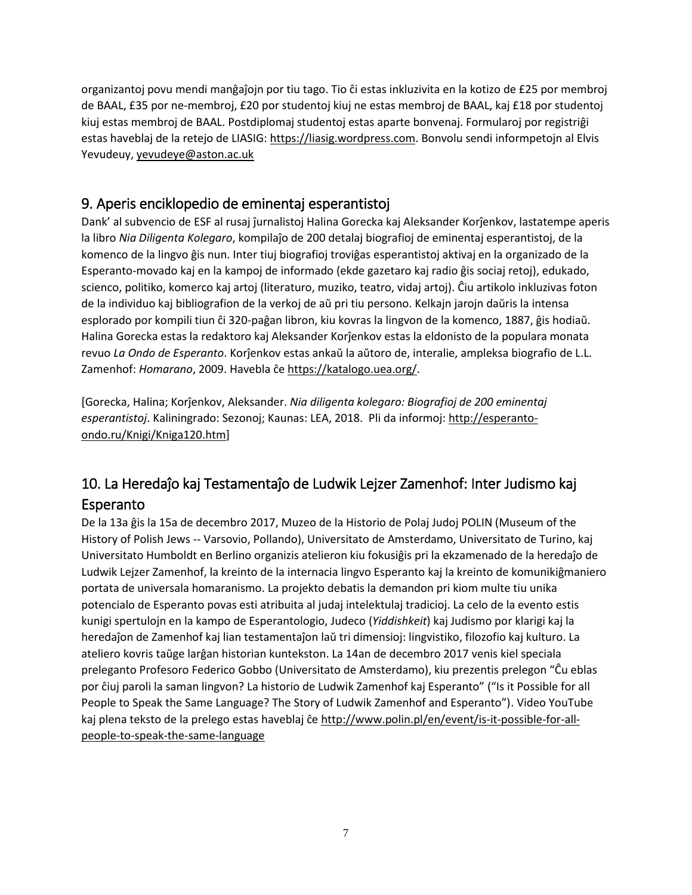organizantoj povu mendi manĝaĵojn por tiu tago. Tio ĉi estas inkluzivita en la kotizo de £25 por membroj de BAAL, £35 por ne-membroj, £20 por studentoj kiuj ne estas membroj de BAAL, kaj £18 por studentoj kiuj estas membroj de BAAL. Postdiplomaj studentoj estas aparte bonvenaj. Formularoj por registriĝi estas haveblaj de la retejo de LIASIG: [https://liasig.wordpress.com.](https://liasig.wordpress.com/) Bonvolu sendi informpetojn al Elvis Yevudeuy, [yevudeye@aston.ac.uk](mailto:yevudeye@aston.ac.uk)

## <span id="page-6-0"></span>9. Aperis enciklopedio de eminentaj esperantistoj

Dank' al subvencio de ESF al rusaj ĵurnalistoj Halina Gorecka kaj Aleksander Korĵenkov, lastatempe aperis la libro *Nia Diligenta Kolegaro*, kompilaĵo de 200 detalaj biografioj de eminentaj esperantistoj, de la komenco de la lingvo ĝis nun. Inter tiuj biografioj troviĝas esperantistoj aktivaj en la organizado de la Esperanto-movado kaj en la kampoj de informado (ekde gazetaro kaj radio ĝis sociaj retoj), edukado, scienco, politiko, komerco kaj artoj (literaturo, muziko, teatro, vidaj artoj). Ĉiu artikolo inkluzivas foton de la individuo kaj bibliografion de la verkoj de aŭ pri tiu persono. Kelkajn jarojn daŭris la intensa esplorado por kompili tiun ĉi 320-paĝan libron, kiu kovras la lingvon de la komenco, 1887, ĝis hodiaŭ. Halina Gorecka estas la redaktoro kaj Aleksander Korĵenkov estas la eldonisto de la populara monata revuo *La Ondo de Esperanto*. Korĵenkov estas ankaŭ la aŭtoro de, interalie, ampleksa biografio de L.L. Zamenhof: *Homarano*, 2009. Havebla ĉe [https://katalogo.uea.org/.](https://katalogo.uea.org/)

[Gorecka, Halina; Korĵenkov, Aleksander. *Nia diligenta kolegaro: Biografioj de 200 eminentaj esperantistoj*. Kaliningrado: Sezonoj; Kaunas: LEA, 2018. Pli da informoj: [http://esperanto](http://esperanto-ondo.ru/Knigi/Kniga120.htm)[ondo.ru/Knigi/Kniga120.htm\]](http://esperanto-ondo.ru/Knigi/Kniga120.htm)

# <span id="page-6-1"></span>10. La Heredaĵo kaj Testamentaĵo de Ludwik Lejzer Zamenhof: Inter Judismo kaj Esperanto

De la 13a ĝis la 15a de decembro 2017, Muzeo de la Historio de Polaj Judoj POLIN (Museum of the History of Polish Jews -- Varsovio, Pollando), Universitato de Amsterdamo, Universitato de Turino, kaj Universitato Humboldt en Berlino organizis atelieron kiu fokusiĝis pri la ekzamenado de la heredaĵo de Ludwik Lejzer Zamenhof, la kreinto de la internacia lingvo Esperanto kaj la kreinto de komunikiĝmaniero portata de universala homaranismo. La projekto debatis la demandon pri kiom multe tiu unika potencialo de Esperanto povas esti atribuita al judaj intelektulaj tradicioj. La celo de la evento estis kunigi spertulojn en la kampo de Esperantologio, Judeco (*Yiddishkeit*) kaj Judismo por klarigi kaj la heredaĵon de Zamenhof kaj lian testamentaĵon laŭ tri dimensioj: lingvistiko, filozofio kaj kulturo. La ateliero kovris taŭge larĝan historian kuntekston. La 14an de decembro 2017 venis kiel speciala preleganto Profesoro Federico Gobbo (Universitato de Amsterdamo), kiu prezentis prelegon "Ĉu eblas por ĉiuj paroli la saman lingvon? La historio de Ludwik Zamenhof kaj Esperanto" ("Is it Possible for all People to Speak the Same Language? The Story of Ludwik Zamenhof and Esperanto"). Video YouTube kaj plena teksto de la prelego estas haveblaj ĉe [http://www.polin.pl/en/event/is-it-possible-for-all](http://www.polin.pl/en/event/is-it-possible-for-all-people-to-speak-the-same-language)[people-to-speak-the-same-language](http://www.polin.pl/en/event/is-it-possible-for-all-people-to-speak-the-same-language)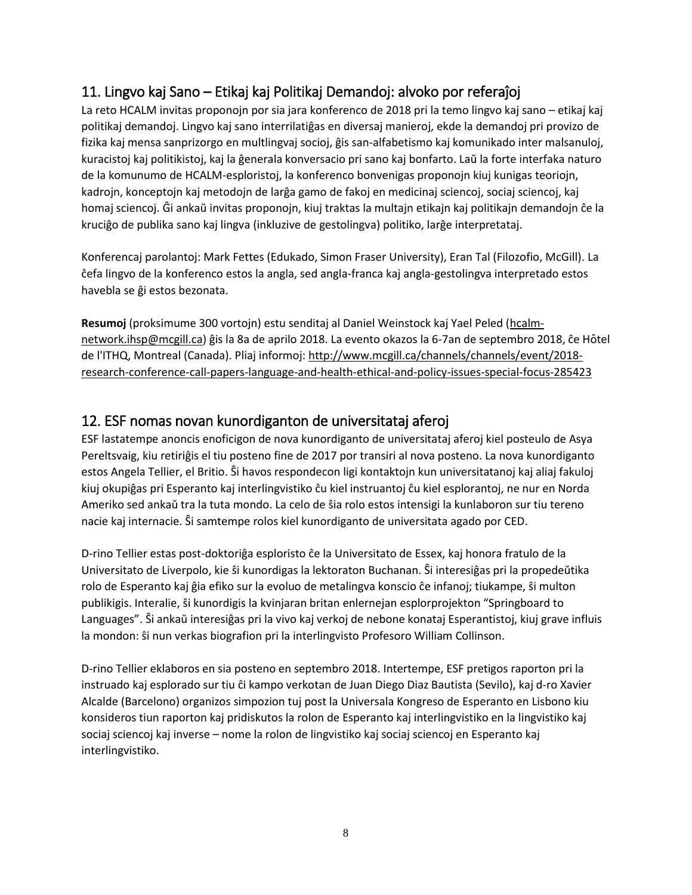## <span id="page-7-0"></span>11. Lingvo kaj Sano – Etikaj kaj Politikaj Demandoj: alvoko por referaĵoj

La reto HCALM invitas proponojn por sia jara konferenco de 2018 pri la temo lingvo kaj sano – etikaj kaj politikaj demandoj. Lingvo kaj sano interrilatiĝas en diversaj manieroj, ekde la demandoj pri provizo de fizika kaj mensa sanprizorgo en multlingvaj socioj, ĝis san-alfabetismo kaj komunikado inter malsanuloj, kuracistoj kaj politikistoj, kaj la ĝenerala konversacio pri sano kaj bonfarto. Laŭ la forte interfaka naturo de la komunumo de HCALM-esploristoj, la konferenco bonvenigas proponojn kiuj kunigas teoriojn, kadrojn, konceptojn kaj metodojn de larĝa gamo de fakoj en medicinaj sciencoj, sociaj sciencoj, kaj homaj sciencoj. Ĝi ankaŭ invitas proponojn, kiuj traktas la multajn etikajn kaj politikajn demandojn ĉe la kruciĝo de publika sano kaj lingva (inkluzive de gestolingva) politiko, larĝe interpretataj.

Konferencaj parolantoj: Mark Fettes (Edukado, Simon Fraser University), Eran Tal (Filozofio, McGill). La ĉefa lingvo de la konferenco estos la angla, sed angla-franca kaj angla-gestolingva interpretado estos havebla se ĝi estos bezonata.

**Resumoj** (proksimume 300 vortojn) estu senditaj al Daniel Weinstock kaj Yael Peled [\(hcalm](mailto:hcalm-network.ihsp@mcgill.ca)[network.ihsp@mcgill.ca](mailto:hcalm-network.ihsp@mcgill.ca)) ĝis la 8a de aprilo 2018. La evento okazos la 6-7an de septembro 2018, ĉe Hôtel de l'ITHQ, Montreal (Canada). Pliaj informoj: [http://www.mcgill.ca/channels/channels/event/2018](http://www.mcgill.ca/channels/channels/event/2018-research-conference-call-papers-language-and-health-ethical-and-policy-issues-special-focus-285423) [research-conference-call-papers-language-and-health-ethical-and-policy-issues-special-focus-285423](http://www.mcgill.ca/channels/channels/event/2018-research-conference-call-papers-language-and-health-ethical-and-policy-issues-special-focus-285423)

### <span id="page-7-1"></span>12. ESF nomas novan kunordiganton de universitataj aferoj

ESF lastatempe anoncis enoficigon de nova kunordiganto de universitataj aferoj kiel posteulo de Asya Pereltsvaig, kiu retiriĝis el tiu posteno fine de 2017 por transiri al nova posteno. La nova kunordiganto estos Angela Tellier, el Britio. Ŝi havos respondecon ligi kontaktojn kun universitatanoj kaj aliaj fakuloj kiuj okupiĝas pri Esperanto kaj interlingvistiko ĉu kiel instruantoj ĉu kiel esplorantoj, ne nur en Norda Ameriko sed ankaŭ tra la tuta mondo. La celo de ŝia rolo estos intensigi la kunlaboron sur tiu tereno nacie kaj internacie. Ŝi samtempe rolos kiel kunordiganto de universitata agado por CED.

D-rino Tellier estas post-doktoriĝa esploristo ĉe la Universitato de Essex, kaj honora fratulo de la Universitato de Liverpolo, kie ŝi kunordigas la lektoraton Buchanan. Ŝi interesiĝas pri la propedeŭtika rolo de Esperanto kaj ĝia efiko sur la evoluo de metalingva konscio ĉe infanoj; tiukampe, ŝi multon publikigis. Interalie, ŝi kunordigis la kvinjaran britan enlernejan esplorprojekton "Springboard to Languages". Ŝi ankaŭ interesiĝas pri la vivo kaj verkoj de nebone konataj Esperantistoj, kiuj grave influis la mondon: ŝi nun verkas biografion pri la interlingvisto Profesoro William Collinson.

D-rino Tellier eklaboros en sia posteno en septembro 2018. Intertempe, ESF pretigos raporton pri la instruado kaj esplorado sur tiu ĉi kampo verkotan de Juan Diego Diaz Bautista (Sevilo), kaj d-ro Xavier Alcalde (Barcelono) organizos simpozion tuj post la Universala Kongreso de Esperanto en Lisbono kiu konsideros tiun raporton kaj pridiskutos la rolon de Esperanto kaj interlingvistiko en la lingvistiko kaj sociaj sciencoj kaj inverse – nome la rolon de lingvistiko kaj sociaj sciencoj en Esperanto kaj interlingvistiko.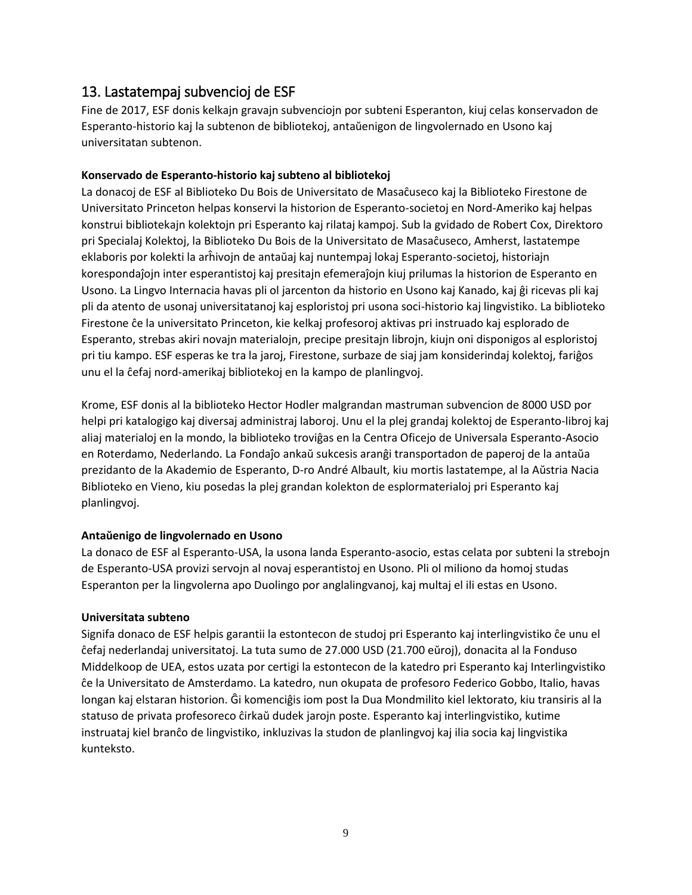#### <span id="page-8-0"></span>13. Lastatempaj subvencioj de ESF

Fine de 2017, ESF donis kelkajn gravajn subvenciojn por subteni Esperanton, kiuj celas konservadon de Esperanto-historio kaj la subtenon de bibliotekoj, antaŭenigon de lingvolernado en Usono kaj universitatan subtenon.

#### **Konservado de Esperanto-historio kaj subteno al bibliotekoj**

La donacoj de ESF al Biblioteko Du Bois de Universitato de Masaĉuseco kaj la Biblioteko Firestone de Universitato Princeton helpas konservi la historion de Esperanto-societoj en Nord-Ameriko kaj helpas konstrui bibliotekajn kolektojn pri Esperanto kaj rilataj kampoj. Sub la gvidado de Robert Cox, Direktoro pri Specialaj Kolektoj, la Biblioteko Du Bois de la Universitato de Masaĉuseco, Amherst, lastatempe eklaboris por kolekti la arĥivojn de antaŭaj kaj nuntempaj lokaj Esperanto-societoj, historiajn korespondaĵojn inter esperantistoj kaj presitajn efemeraĵojn kiuj prilumas la historion de Esperanto en Usono. La Lingvo Internacia havas pli ol jarcenton da historio en Usono kaj Kanado, kaj ĝi ricevas pli kaj pli da atento de usonaj universitatanoj kaj esploristoj pri usona soci-historio kaj lingvistiko. La biblioteko Firestone ĉe la universitato Princeton, kie kelkaj profesoroj aktivas pri instruado kaj esplorado de Esperanto, strebas akiri novajn materialojn, precipe presitajn librojn, kiujn oni disponigos al esploristoj pri tiu kampo. ESF esperas ke tra la jaroj, Firestone, surbaze de siaj jam konsiderindaj kolektoj, fariĝos unu el la ĉefaj nord-amerikaj bibliotekoj en la kampo de planlingvoj.

Krome, ESF donis al la biblioteko Hector Hodler malgrandan mastruman subvencion de 8000 USD por helpi pri katalogigo kaj diversaj administraj laboroj. Unu el la plej grandaj kolektoj de Esperanto-libroj kaj aliaj materialoj en la mondo, la biblioteko troviĝas en la Centra Oficejo de Universala Esperanto-Asocio en Roterdamo, Nederlando. La Fondaĵo ankaŭ sukcesis aranĝi transportadon de paperoj de la antaŭa prezidanto de la Akademio de Esperanto, D-ro André Albault, kiu mortis lastatempe, al la Aŭstria Nacia Biblioteko en Vieno, kiu posedas la plej grandan kolekton de esplormaterialoj pri Esperanto kaj planlingvoj.

#### **Antaŭenigo de lingvolernado en Usono**

La donaco de ESF al Esperanto-USA, la usona landa Esperanto-asocio, estas celata por subteni la strebojn de Esperanto-USA provizi servojn al novaj esperantistoj en Usono. Pli ol miliono da homoj studas Esperanton per la lingvolerna apo Duolingo por anglalingvanoj, kaj multaj el ili estas en Usono.

#### **Universitata subteno**

Signifa donaco de ESF helpis garantii la estontecon de studoj pri Esperanto kaj interlingvistiko ĉe unu el ĉefaj nederlandaj universitatoj. La tuta sumo de 27.000 USD (21.700 eŭroj), donacita al la Fonduso Middelkoop de UEA, estos uzata por certigi la estontecon de la katedro pri Esperanto kaj Interlingvistiko ĉe la Universitato de Amsterdamo. La katedro, nun okupata de profesoro Federico Gobbo, Italio, havas longan kaj elstaran historion. Ĝi komenciĝis iom post la Dua Mondmilito kiel lektorato, kiu transiris al la statuso de privata profesoreco ĉirkaŭ dudek jarojn poste. Esperanto kaj interlingvistiko, kutime instruataj kiel branĉo de lingvistiko, inkluzivas la studon de planlingvoj kaj ilia socia kaj lingvistika kunteksto.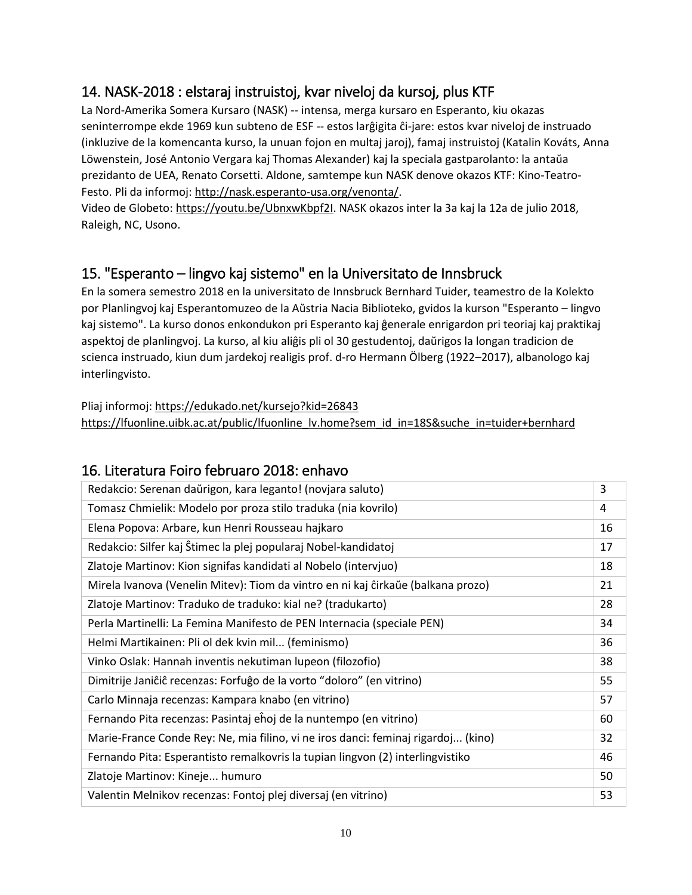## <span id="page-9-0"></span>14. NASK-2018 : elstaraj instruistoj, kvar niveloj da kursoj, plus KTF

La Nord-Amerika Somera Kursaro (NASK) -- intensa, merga kursaro en Esperanto, kiu okazas seninterrompe ekde 1969 kun subteno de ESF -- estos larĝigita ĉi-jare: estos kvar niveloj de instruado (inkluzive de la komencanta kurso, la unuan fojon en multaj jaroj), famaj instruistoj (Katalin Kováts, Anna Löwenstein, José Antonio Vergara kaj Thomas Alexander) kaj la speciala gastparolanto: la antaŭa prezidanto de UEA, Renato Corsetti. Aldone, samtempe kun NASK denove okazos KTF: Kino-Teatro-Festo. Pli da informoj: [http://nask.esperanto-usa.org/venonta/.](http://nask.esperanto-usa.org/venonta/)

Video de Globeto[: https://youtu.be/UbnxwKbpf2I.](https://youtu.be/UbnxwKbpf2I) NASK okazos inter la 3a kaj la 12a de julio 2018, Raleigh, NC, Usono.

# <span id="page-9-1"></span>15. "Esperanto – lingvo kaj sistemo" en la Universitato de Innsbruck

En la somera semestro 2018 en la universitato de Innsbruck Bernhard Tuider, teamestro de la Kolekto por Planlingvoj kaj Esperantomuzeo de la Aŭstria Nacia Biblioteko, gvidos la kurson "Esperanto – lingvo kaj sistemo". La kurso donos enkondukon pri Esperanto kaj ĝenerale enrigardon pri teoriaj kaj praktikaj aspektoj de planlingvoj. La kurso, al kiu aliĝis pli ol 30 gestudentoj, daŭrigos la longan tradicion de scienca instruado, kiun dum jardekoj realigis prof. d-ro Hermann Ölberg (1922–2017), albanologo kaj interlingvisto.

Pliaj informoj: <https://edukado.net/kursejo?kid=26843> [https://lfuonline.uibk.ac.at/public/lfuonline\\_lv.home?sem\\_id\\_in=18S&suche\\_in=tuider+bernhard](https://lfuonline.uibk.ac.at/public/lfuonline_lv.home?sem_id_in=18S&suche_in=tuider+bernhard)

### <span id="page-9-2"></span>16. Literatura Foiro februaro 2018: enhavo

| Redakcio: Serenan daŭrigon, kara leganto! (novjara saluto)                        | 3  |
|-----------------------------------------------------------------------------------|----|
| Tomasz Chmielik: Modelo por proza stilo traduka (nia kovrilo)                     | 4  |
| Elena Popova: Arbare, kun Henri Rousseau hajkaro                                  | 16 |
| Redakcio: Silfer kaj Ŝtimec la plej popularaj Nobel-kandidatoj                    | 17 |
| Zlatoje Martinov: Kion signifas kandidati al Nobelo (intervjuo)                   | 18 |
| Mirela Ivanova (Venelin Mitev): Tiom da vintro en ni kaj ĉirkaŭe (balkana prozo)  | 21 |
| Zlatoje Martinov: Traduko de traduko: kial ne? (tradukarto)                       | 28 |
| Perla Martinelli: La Femina Manifesto de PEN Internacia (speciale PEN)            | 34 |
| Helmi Martikainen: Pli ol dek kvin mil (feminismo)                                | 36 |
| Vinko Oslak: Hannah inventis nekutiman lupeon (filozofio)                         | 38 |
| Dimitrije Janiĉiĉ recenzas: Forfuĝo de la vorto "doloro" (en vitrino)             | 55 |
| Carlo Minnaja recenzas: Kampara knabo (en vitrino)                                | 57 |
| Fernando Pita recenzas: Pasintaj eĥoj de la nuntempo (en vitrino)                 | 60 |
| Marie-France Conde Rey: Ne, mia filino, vi ne iros danci: feminaj rigardoj (kino) | 32 |
| Fernando Pita: Esperantisto remalkovris la tupian lingvon (2) interlingvistiko    | 46 |
| Zlatoje Martinov: Kineje humuro                                                   | 50 |
| Valentin Melnikov recenzas: Fontoj plej diversaj (en vitrino)                     | 53 |